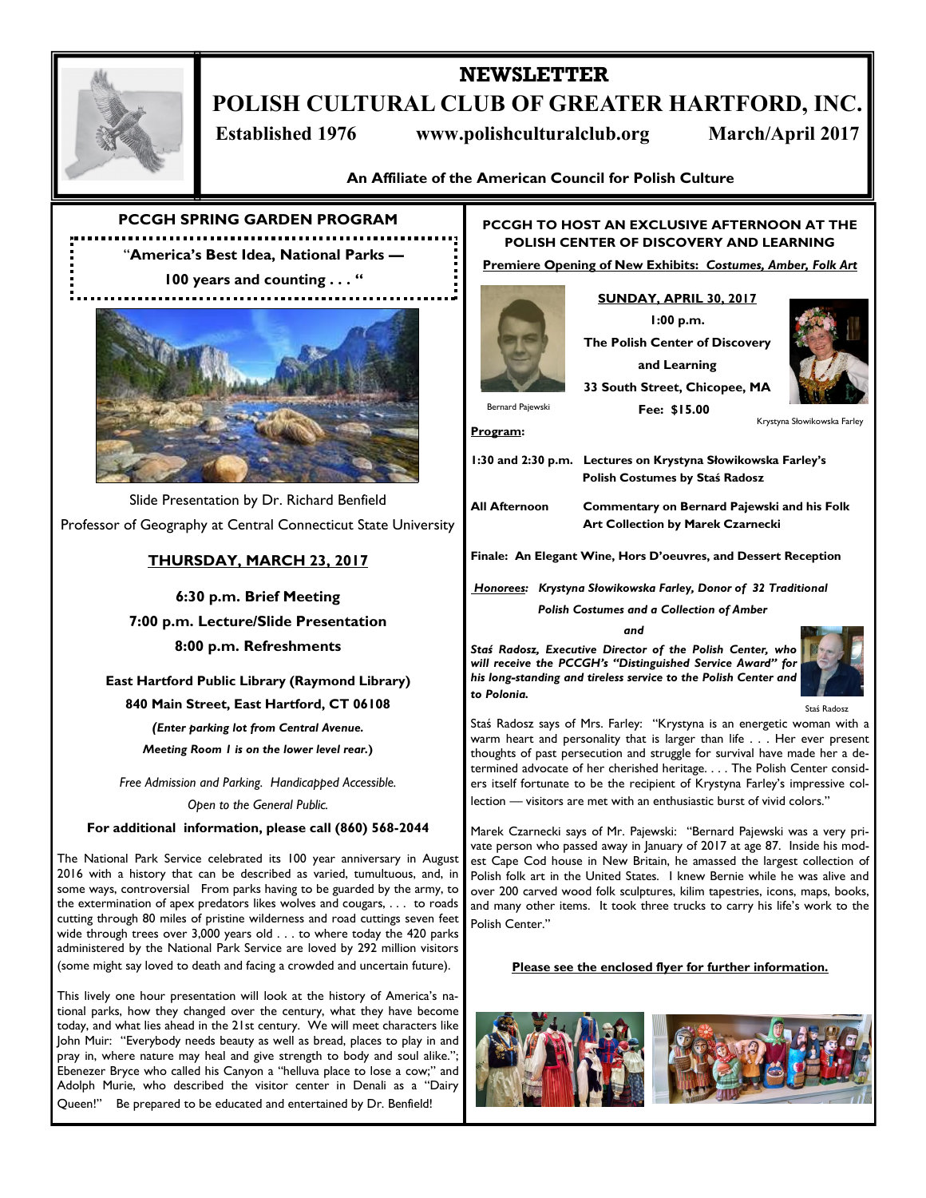

# **NEWSLETTER POLISH CULTURAL CLUB OF GREATER HARTFORD, INC. Established 1976 www.polishculturalclub.org March/April 2017**

**An Affiliate of the American Council for Polish Culture**

**PCCGH SPRING GARDEN PROGRAM**

"**America's Best Idea, National Parks — 100 years and counting . . . "**



Slide Presentation by Dr. Richard Benfield Professor of Geography at Central Connecticut State University

## **THURSDAY, MARCH 23, 2017**

**6:30 p.m. Brief Meeting 7:00 p.m. Lecture/Slide Presentation 8:00 p.m. Refreshments**

**East Hartford Public Library (Raymond Library)**

**840 Main Street, East Hartford, CT 06108**

*(Enter parking lot from Central Avenue. Meeting Room 1 is on the lower level rear.***)**

*Free Admission and Parking. Handicapped Accessible. Open to the General Public.*

**For additional information, please call (860) 568-2044**

The National Park Service celebrated its 100 year anniversary in August 2016 with a history that can be described as varied, tumultuous, and, in some ways, controversial From parks having to be guarded by the army, to the extermination of apex predators likes wolves and cougars, . . . to roads cutting through 80 miles of pristine wilderness and road cuttings seven feet wide through trees over 3,000 years old . . . to where today the 420 parks administered by the National Park Service are loved by 292 million visitors (some might say loved to death and facing a crowded and uncertain future).

This lively one hour presentation will look at the history of America's national parks, how they changed over the century, what they have become today, and what lies ahead in the 21st century. We will meet characters like John Muir: "Everybody needs beauty as well as bread, places to play in and pray in, where nature may heal and give strength to body and soul alike."; Ebenezer Bryce who called his Canyon a "helluva place to lose a cow;" and Adolph Murie, who described the visitor center in Denali as a "Dairy Queen!" Be prepared to be educated and entertained by Dr. Benfield!

## **PCCGH TO HOST AN EXCLUSIVE AFTERNOON AT THE POLISH CENTER OF DISCOVERY AND LEARNING**

**Premiere Opening of New Exhibits:** *Costumes, Amber, Folk Art*

## **SUNDAY, APRIL 30, 2017 1:00 p.m.**

**The Polish Center of Discovery** 



**Program:** 

**and Learning 33 South Street, Chicopee, MA Fee: \$15.00**



Krystyna Słowikowska Farley

**1:30 and 2:30 p.m. Lectures on Krystyna Słowikowska Farley's Polish Costumes by Staś Radosz**

**All Afternoon Commentary on Bernard Pajewski and his Folk Art Collection by Marek Czarnecki**

**Finale: An Elegant Wine, Hors D'oeuvres, and Dessert Reception** 

*Honorees: Krystyna Słowikowska Farley, Donor of 32 Traditional* 

 *Polish Costumes and a Collection of Amber*

### *and*

*Staś Radosz, Executive Director of the Polish Center, who will receive the PCCGH's "Distinguished Service Award" for his long-standing and tireless service to the Polish Center and to Polonia.*



Staś Radosz

Staś Radosz says of Mrs. Farley: "Krystyna is an energetic woman with a warm heart and personality that is larger than life . . . Her ever present thoughts of past persecution and struggle for survival have made her a determined advocate of her cherished heritage. . . . The Polish Center considers itself fortunate to be the recipient of Krystyna Farley's impressive collection — visitors are met with an enthusiastic burst of vivid colors."

Marek Czarnecki says of Mr. Pajewski: "Bernard Pajewski was a very private person who passed away in January of 2017 at age 87. Inside his modest Cape Cod house in New Britain, he amassed the largest collection of Polish folk art in the United States. I knew Bernie while he was alive and over 200 carved wood folk sculptures, kilim tapestries, icons, maps, books, and many other items. It took three trucks to carry his life's work to the Polish Center."

### **Please see the enclosed flyer for further information.**

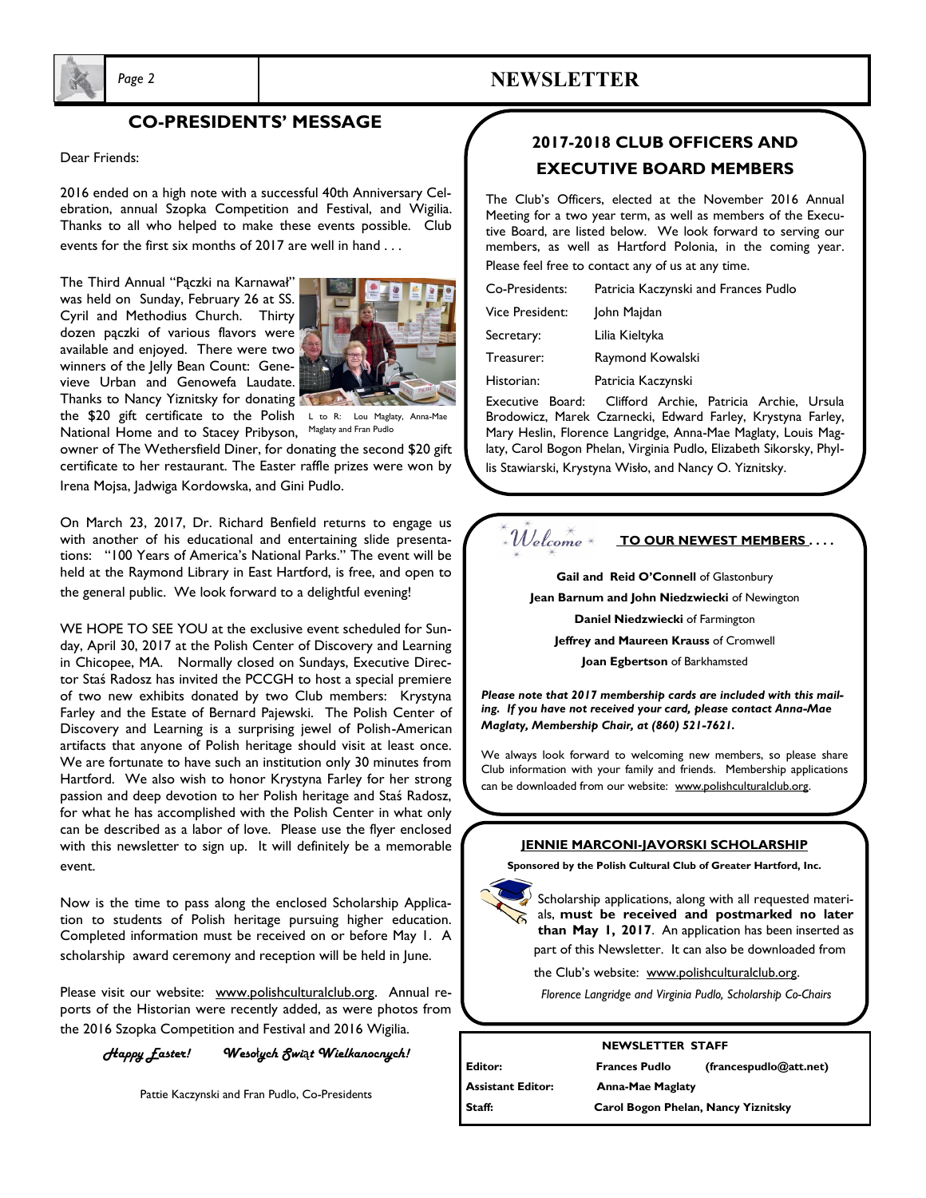

# *Page 2* **NEWSLETTER**

## **CO-PRESIDENTS' MESSAGE**

Dear Friends:

2016 ended on a high note with a successful 40th Anniversary Celebration, annual Szopka Competition and Festival, and Wigilia. Thanks to all who helped to make these events possible. Club events for the first six months of 2017 are well in hand . . .

The Third Annual "Pączki na Karnawał" was held on Sunday, February 26 at SS. Cyril and Methodius Church. Thirty dozen pączki of various flavors were available and enjoyed. There were two winners of the Jelly Bean Count: Genevieve Urban and Genowefa Laudate. Thanks to Nancy Yiznitsky for donating



the \$20 gift certificate to the Polish L to R: Lou Maglaty, Anna-Mae National Home and to Stacey Pribyson,

Maglaty and Fran Pudlo

owner of The Wethersfield Diner, for donating the second \$20 gift certificate to her restaurant. The Easter raffle prizes were won by Irena Mojsa, Jadwiga Kordowska, and Gini Pudlo.

On March 23, 2017, Dr. Richard Benfield returns to engage us with another of his educational and entertaining slide presentations: "100 Years of America's National Parks." The event will be held at the Raymond Library in East Hartford, is free, and open to the general public. We look forward to a delightful evening!

WE HOPE TO SEE YOU at the exclusive event scheduled for Sunday, April 30, 2017 at the Polish Center of Discovery and Learning in Chicopee, MA. Normally closed on Sundays, Executive Director Staś Radosz has invited the PCCGH to host a special premiere of two new exhibits donated by two Club members: Krystyna Farley and the Estate of Bernard Pajewski. The Polish Center of Discovery and Learning is a surprising jewel of Polish-American artifacts that anyone of Polish heritage should visit at least once. We are fortunate to have such an institution only 30 minutes from Hartford. We also wish to honor Krystyna Farley for her strong passion and deep devotion to her Polish heritage and Staś Radosz, for what he has accomplished with the Polish Center in what only can be described as a labor of love. Please use the flyer enclosed with this newsletter to sign up. It will definitely be a memorable event.

Now is the time to pass along the enclosed Scholarship Application to students of Polish heritage pursuing higher education. Completed information must be received on or before May 1. A scholarship award ceremony and reception will be held in June.

Please visit our website: www.polishculturalclub.org. Annual reports of the Historian were recently added, as were photos from the 2016 Szopka Competition and Festival and 2016 Wigilia.

*Happy Easter! Weso*ł*ych Swi*ą*t Wielkanocnych!*

Pattie Kaczynski and Fran Pudlo, Co-Presidents

# **2017-2018 CLUB OFFICERS AND EXECUTIVE BOARD MEMBERS**

The Club's Officers, elected at the November 2016 Annual Meeting for a two year term, as well as members of the Executive Board, are listed below. We look forward to serving our members, as well as Hartford Polonia, in the coming year. Please feel free to contact any of us at any time.

| Co-Presidents:   | Patricia Kaczynski and Frances Pudlo  |  |  |
|------------------|---------------------------------------|--|--|
| Vice President:  | John Majdan                           |  |  |
| Secretary:       | Lilia Kieltyka                        |  |  |
| Treasurer:       | Raymond Kowalski                      |  |  |
| Historian:       | Patricia Kaczynski                    |  |  |
| Executive Board: | Clifford Archie<br>Patricia<br>Archie |  |  |

Clifford Archie, Patricia Archie, Ursula Brodowicz, Marek Czarnecki, Edward Farley, Krystyna Farley, Mary Heslin, Florence Langridge, Anna-Mae Maglaty, Louis Maglaty, Carol Bogon Phelan, Virginia Pudlo, Elizabeth Sikorsky, Phyl-

lis Stawiarski, Krystyna Wisło, and Nancy O. Yiznitsky.

#### $\mathcal{W}_i$ elcome **TO OUR NEWEST MEMBERS . . . .**

Gail and Reid O'Connell of Glastonbury

**Jean Barnum and John Niedzwiecki** of Newington

**Daniel Niedzwiecki** of Farmington

**Jeffrey and Maureen Krauss** of Cromwell

**Joan Egbertson** of Barkhamsted

*Please note that 2017 membership cards are included with this mailing. If you have not received your card, please contact Anna-Mae Maglaty, Membership Chair, at (860) 521-7621.*

We always look forward to welcoming new members, so please share Club information with your family and friends. Membership applications can be downloaded from our website: www.polishculturalclub.org.

### **JENNIE MARCONI-JAVORSKI SCHOLARSHIP**

**Sponsored by the Polish Cultural Club of Greater Hartford, Inc.**

Scholarship applications, along with all requested materials, **must be received and postmarked no later than May 1, 2017**. An application has been inserted as part of this Newsletter. It can also be downloaded from

the Club's website: www.polishculturalclub.org.

*Florence Langridge and Virginia Pudlo, Scholarship Co-Chairs*

### **NEWSLETTER STAFF**

| Editor:           | <b>Frances Pudlo</b>                | (frances pulled@att.net) |
|-------------------|-------------------------------------|--------------------------|
| Assistant Editor: | <b>Anna-Mae Maglaty</b>             |                          |
| Staff:            | Carol Bogon Phelan, Nancy Yiznitsky |                          |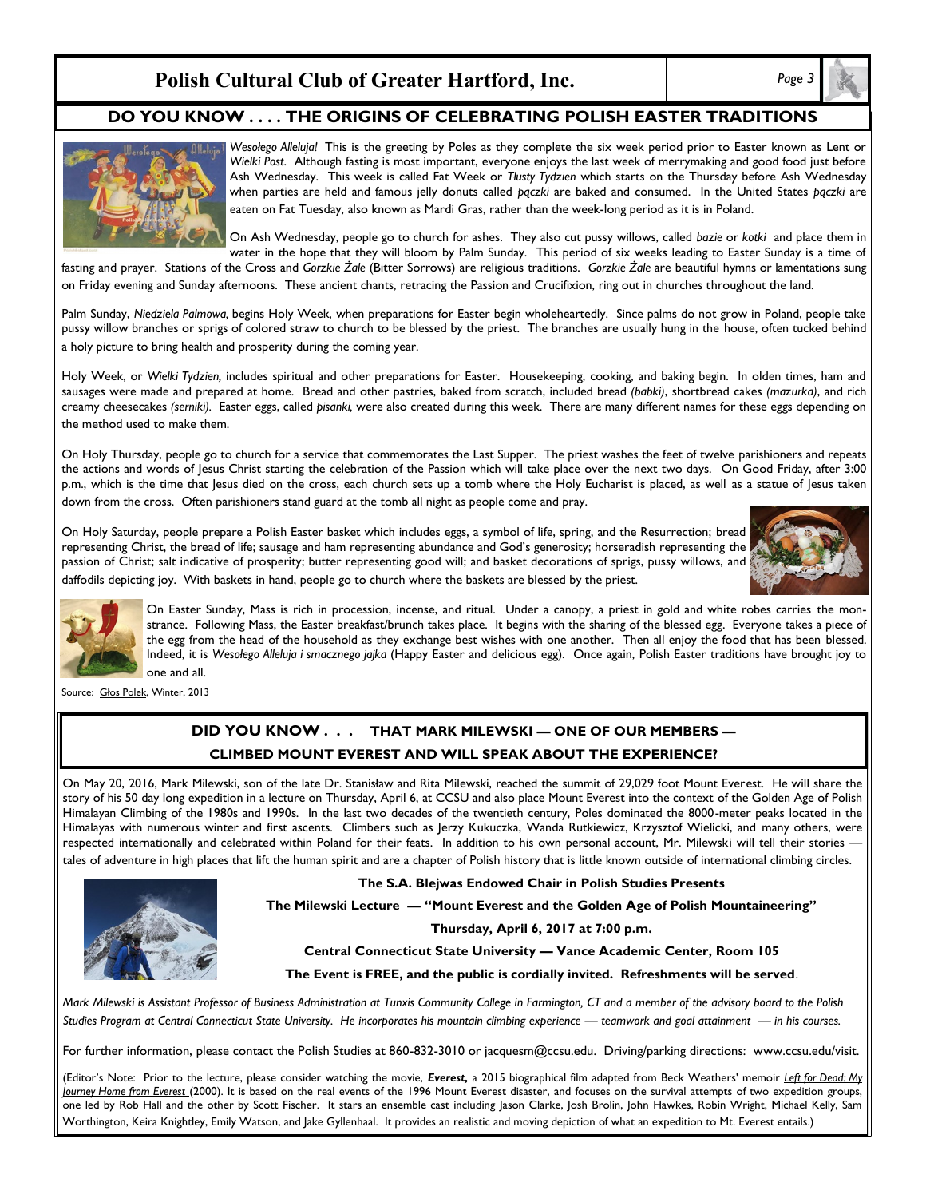# **Polish Cultural Club of Greater Hartford, Inc.** *Page 3*

## **DO YOU KNOW . . . . THE ORIGINS OF CELEBRATING POLISH EASTER TRADITIONS**



*Wesołego Alleluja!* This is the greeting by Poles as they complete the six week period prior to Easter known as Lent or *Wielki Post*. Although fasting is most important, everyone enjoys the last week of merrymaking and good food just before Ash Wednesday. This week is called Fat Week or *Tłusty Tydzien* which starts on the Thursday before Ash Wednesday when parties are held and famous jelly donuts called *pączki* are baked and consumed. In the United States *pączki* are eaten on Fat Tuesday, also known as Mardi Gras, rather than the week-long period as it is in Poland.

On Ash Wednesday, people go to church for ashes. They also cut pussy willows, called *bazie* or *kotki* and place them in water in the hope that they will bloom by Palm Sunday. This period of six weeks leading to Easter Sunday is a time of

fasting and prayer. Stations of the Cross and *Gorzkie Żale* (Bitter Sorrows) are religious traditions. *Gorzkie Żale* are beautiful hymns or lamentations sung on Friday evening and Sunday afternoons. These ancient chants, retracing the Passion and Crucifixion, ring out in churches throughout the land.

Palm Sunday, *Niedziela Palmowa,* begins Holy Week, when preparations for Easter begin wholeheartedly. Since palms do not grow in Poland, people take pussy willow branches or sprigs of colored straw to church to be blessed by the priest. The branches are usually hung in the house, often tucked behind a holy picture to bring health and prosperity during the coming year.

Holy Week, or *Wielki Tydzien,* includes spiritual and other preparations for Easter. Housekeeping, cooking, and baking begin. In olden times, ham and sausages were made and prepared at home. Bread and other pastries, baked from scratch, included bread *(babki)*, shortbread cakes *(mazurka)*, and rich creamy cheesecakes *(serniki).* Easter eggs, called *pisanki,* were also created during this week. There are many different names for these eggs depending on the method used to make them.

On Holy Thursday, people go to church for a service that commemorates the Last Supper. The priest washes the feet of twelve parishioners and repeats the actions and words of Jesus Christ starting the celebration of the Passion which will take place over the next two days. On Good Friday, after 3:00 p.m., which is the time that Jesus died on the cross, each church sets up a tomb where the Holy Eucharist is placed, as well as a statue of Jesus taken down from the cross. Often parishioners stand guard at the tomb all night as people come and pray.

On Holy Saturday, people prepare a Polish Easter basket which includes eggs, a symbol of life, spring, and the Resurrection; bread representing Christ, the bread of life; sausage and ham representing abundance and God's generosity; horseradish representing the passion of Christ; salt indicative of prosperity; butter representing good will; and basket decorations of sprigs, pussy willows, and daffodils depicting joy. With baskets in hand, people go to church where the baskets are blessed by the priest.





On Easter Sunday, Mass is rich in procession, incense, and ritual. Under a canopy, a priest in gold and white robes carries the monstrance. Following Mass, the Easter breakfast/brunch takes place. It begins with the sharing of the blessed egg. Everyone takes a piece of the egg from the head of the household as they exchange best wishes with one another. Then all enjoy the food that has been blessed. Indeed, it is *Wesołego Alleluja i smacznego jajka* (Happy Easter and delicious egg). Once again, Polish Easter traditions have brought joy to one and all.

Source: Głos Polek, Winter, 2013

## **DID YOU KNOW . . . THAT MARK MILEWSKI — ONE OF OUR MEMBERS — CLIMBED MOUNT EVEREST AND WILL SPEAK ABOUT THE EXPERIENCE?**

On May 20, 2016, Mark Milewski, son of the late Dr. Stanisław and Rita Milewski, reached the summit of 29,029 foot Mount Everest. He will share the story of his 50 day long expedition in a lecture on Thursday, April 6, at CCSU and also place Mount Everest into the context of the Golden Age of Polish Himalayan Climbing of the 1980s and 1990s. In the last two decades of the twentieth century, Poles dominated the 8000-meter peaks located in the Himalayas with numerous winter and first ascents. Climbers such as Jerzy Kukuczka, Wanda Rutkiewicz, Krzysztof Wielicki, and many others, were respected internationally and celebrated within Poland for their feats. In addition to his own personal account, Mr. Milewski will tell their stories tales of adventure in high places that lift the human spirit and are a chapter of Polish history that is little known outside of international climbing circles.



**The S.A. Blejwas Endowed Chair in Polish Studies Presents**

**The Milewski Lecture — "Mount Everest and the Golden Age of Polish Mountaineering"**

**Thursday, April 6, 2017 at 7:00 p.m.**

**Central Connecticut State University — Vance Academic Center, Room 105**

**The Event is FREE, and the public is cordially invited. Refreshments will be served**.

*Mark Milewski is Assistant Professor of Business Administration at Tunxis Community College in Farmington, CT and a member of the advisory board to the Polish Studies Program at Central Connecticut State University. He incorporates his mountain climbing experience — teamwork and goal attainment — in his courses.*

For further information, please contact the Polish Studies at 860-832-3010 or jacquesm@ccsu.edu. Driving/parking directions: www.ccsu.edu/visit.

(Editor's Note: Prior to the lecture, please consider watching the movie, *Everest,* a 2015 [biographical](https://en.wikipedia.org/wiki/Biographical_film) [film](https://en.wikipedia.org/wiki/Adventure_film) adapted from [Beck Weathers'](https://en.wikipedia.org/wiki/Beck_Weathers) memoir *Left for Dead: My Journey Home from Everest* (2000). It is based on the real events of the [1996 Mount Everest disaster,](https://en.wikipedia.org/wiki/1996_Mount_Everest_disaster) and focuses on the survival attempts of two expedition groups, one led by [Rob Hall](https://en.wikipedia.org/wiki/Rob_Hall) and the other by [Scott Fischer.](https://en.wikipedia.org/wiki/Scott_Fischer) It stars an [ensemble cast](https://en.wikipedia.org/wiki/Ensemble_cast) including [Jason Clarke, Josh Brolin,](https://en.wikipedia.org/wiki/Josh_Brolin) [John Hawkes,](https://en.wikipedia.org/wiki/John_Hawkes_(actor)) [Robin Wright,](https://en.wikipedia.org/wiki/Robin_Wright) [Michael Kelly,](https://en.wikipedia.org/wiki/Michael_Kelly_(American_actor)) [Sam](https://en.wikipedia.org/wiki/Sam_Worthington)  [Worthington,](https://en.wikipedia.org/wiki/Sam_Worthington) [Keira Knightley,](https://en.wikipedia.org/wiki/Keira_Knightley) [Emily Watson,](https://en.wikipedia.org/wiki/Emily_Watson) and Jake Gyllenhaal. It provides an realistic and moving depiction of what an expedition to Mt. Everest entails.)